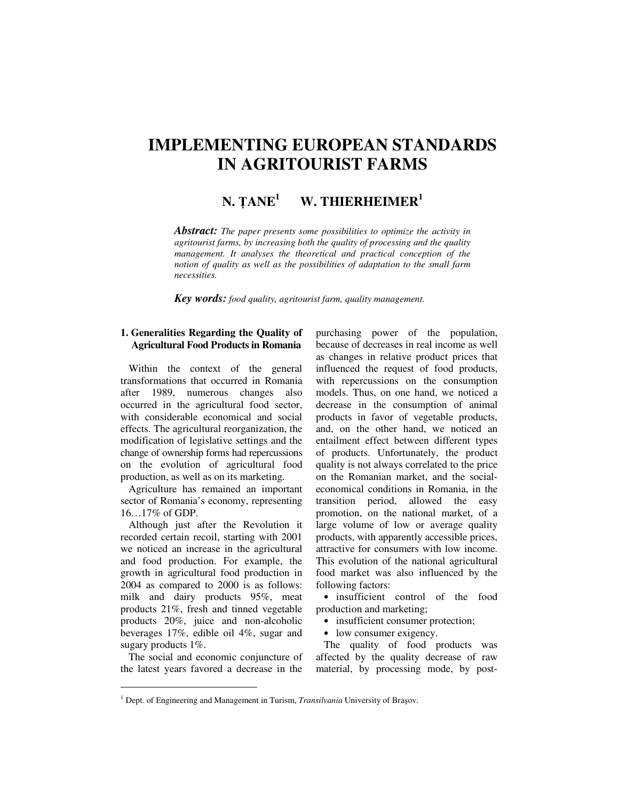# **IMPLEMENTING EUROPEAN STANDARDS IN AGRITOURIST FARMS**

#### $N.$  **TANE<sup>1</sup> W. THIERHEIMER<sup>1</sup>**

*Abstract: The paper presents some possibilities to optimize the activity in agritourist farms, by increasing both the quality of processing and the quality management. It analyses the theoretical and practical conception of the notion of quality as well as the possibilities of adaptation to the small farm necessities.* 

*Key words: food quality, agritourist farm, quality management.*

## **1. Generalities Regarding the Quality of Agricultural Food Products in Romania**

Within the context of the general transformations that occurred in Romania after 1989, numerous changes also occurred in the agricultural food sector, with considerable economical and social effects. The agricultural reorganization, the modification of legislative settings and the change of ownership forms had repercussions on the evolution of agricultural food production, as well as on its marketing.

Agriculture has remained an important sector of Romania's economy, representing 16…17% of GDP.

Although just after the Revolution it recorded certain recoil, starting with 2001 we noticed an increase in the agricultural and food production. For example, the growth in agricultural food production in 2004 as compared to 2000 is as follows: milk and dairy products 95%, meat products 21%, fresh and tinned vegetable products 20%, juice and non-alcoholic beverages 17%, edible oil 4%, sugar and sugary products 1%.

The social and economic conjuncture of the latest years favored a decrease in the

 $\overline{a}$ 

purchasing power of the population, because of decreases in real income as well as changes in relative product prices that influenced the request of food products, with repercussions on the consumption models. Thus, on one hand, we noticed a decrease in the consumption of animal products in favor of vegetable products, and, on the other hand, we noticed an entailment effect between different types of products. Unfortunately, the product quality is not always correlated to the price on the Romanian market, and the socialeconomical conditions in Romania, in the transition period, allowed the easy promotion, on the national market, of a large volume of low or average quality products, with apparently accessible prices, attractive for consumers with low income. This evolution of the national agricultural food market was also influenced by the following factors:

• insufficient control of the food production and marketing;

- insufficient consumer protection;
- low consumer exigency.

The quality of food products was affected by the quality decrease of raw material, by processing mode, by post-

<sup>&</sup>lt;sup>1</sup> Dept. of Engineering and Management in Turism, *Transilvania* University of Brașov.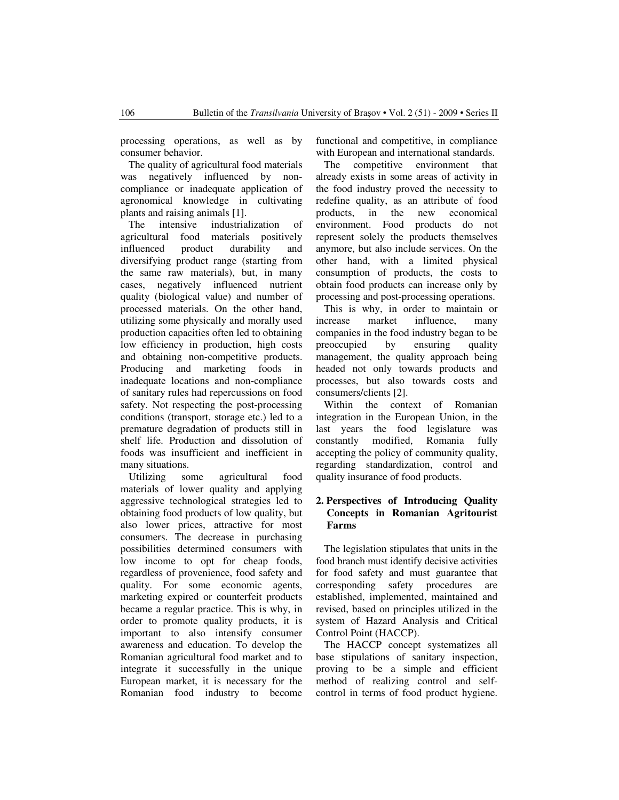processing operations, as well as by consumer behavior.

The quality of agricultural food materials was negatively influenced by noncompliance or inadequate application of agronomical knowledge in cultivating plants and raising animals [1].

The intensive industrialization of agricultural food materials positively influenced product durability and diversifying product range (starting from the same raw materials), but, in many cases, negatively influenced nutrient quality (biological value) and number of processed materials. On the other hand, utilizing some physically and morally used production capacities often led to obtaining low efficiency in production, high costs and obtaining non-competitive products. Producing and marketing foods in inadequate locations and non-compliance of sanitary rules had repercussions on food safety. Not respecting the post-processing conditions (transport, storage etc.) led to a premature degradation of products still in shelf life. Production and dissolution of foods was insufficient and inefficient in many situations.

Utilizing some agricultural food materials of lower quality and applying aggressive technological strategies led to obtaining food products of low quality, but also lower prices, attractive for most consumers. The decrease in purchasing possibilities determined consumers with low income to opt for cheap foods, regardless of provenience, food safety and quality. For some economic agents, marketing expired or counterfeit products became a regular practice. This is why, in order to promote quality products, it is important to also intensify consumer awareness and education. To develop the Romanian agricultural food market and to integrate it successfully in the unique European market, it is necessary for the Romanian food industry to become functional and competitive, in compliance with European and international standards.

The competitive environment that already exists in some areas of activity in the food industry proved the necessity to redefine quality, as an attribute of food products, in the new economical environment. Food products do not represent solely the products themselves anymore, but also include services. On the other hand, with a limited physical consumption of products, the costs to obtain food products can increase only by processing and post-processing operations.

This is why, in order to maintain or increase market influence, many companies in the food industry began to be preoccupied by ensuring quality management, the quality approach being headed not only towards products and processes, but also towards costs and consumers/clients [2].

Within the context of Romanian integration in the European Union, in the last years the food legislature was constantly modified, Romania fully accepting the policy of community quality, regarding standardization, control and quality insurance of food products.

## **2. Perspectives of Introducing Quality Concepts in Romanian Agritourist Farms**

The legislation stipulates that units in the food branch must identify decisive activities for food safety and must guarantee that corresponding safety procedures are established, implemented, maintained and revised, based on principles utilized in the system of Hazard Analysis and Critical Control Point (HACCP).

The HACCP concept systematizes all base stipulations of sanitary inspection, proving to be a simple and efficient method of realizing control and selfcontrol in terms of food product hygiene.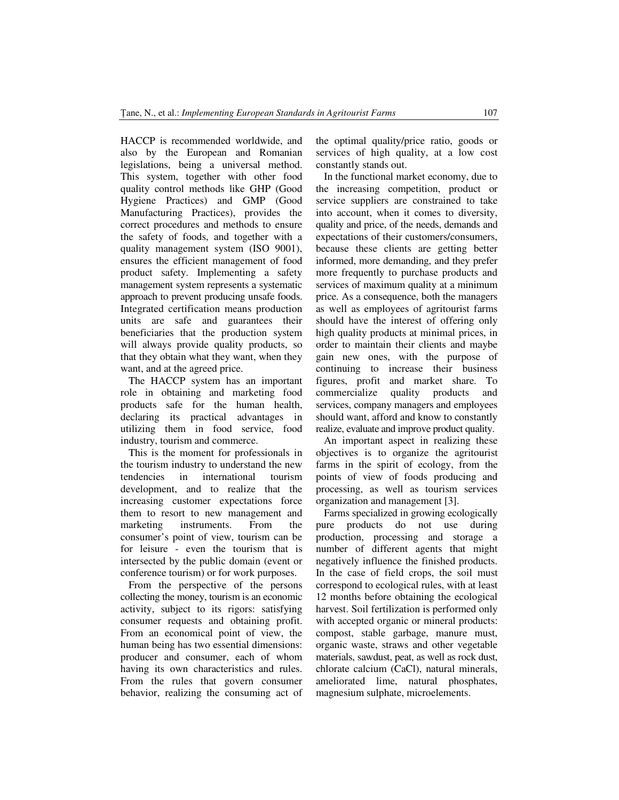HACCP is recommended worldwide, and also by the European and Romanian legislations, being a universal method. This system, together with other food quality control methods like GHP (Good Hygiene Practices) and GMP (Good Manufacturing Practices), provides the correct procedures and methods to ensure the safety of foods, and together with a quality management system (ISO 9001), ensures the efficient management of food product safety. Implementing a safety management system represents a systematic approach to prevent producing unsafe foods. Integrated certification means production units are safe and guarantees their beneficiaries that the production system will always provide quality products, so that they obtain what they want, when they want, and at the agreed price.

The HACCP system has an important role in obtaining and marketing food products safe for the human health, declaring its practical advantages in utilizing them in food service, food industry, tourism and commerce.

This is the moment for professionals in the tourism industry to understand the new tendencies in international tourism development, and to realize that the increasing customer expectations force them to resort to new management and marketing instruments. From the consumer's point of view, tourism can be for leisure - even the tourism that is intersected by the public domain (event or conference tourism) or for work purposes.

From the perspective of the persons collecting the money, tourism is an economic activity, subject to its rigors: satisfying consumer requests and obtaining profit. From an economical point of view, the human being has two essential dimensions: producer and consumer, each of whom having its own characteristics and rules. From the rules that govern consumer behavior, realizing the consuming act of the optimal quality/price ratio, goods or services of high quality, at a low cost constantly stands out.

In the functional market economy, due to the increasing competition, product or service suppliers are constrained to take into account, when it comes to diversity, quality and price, of the needs, demands and expectations of their customers/consumers, because these clients are getting better informed, more demanding, and they prefer more frequently to purchase products and services of maximum quality at a minimum price. As a consequence, both the managers as well as employees of agritourist farms should have the interest of offering only high quality products at minimal prices, in order to maintain their clients and maybe gain new ones, with the purpose of continuing to increase their business figures, profit and market share. To commercialize quality products and services, company managers and employees should want, afford and know to constantly realize, evaluate and improve product quality.

An important aspect in realizing these objectives is to organize the agritourist farms in the spirit of ecology, from the points of view of foods producing and processing, as well as tourism services organization and management [3].

Farms specialized in growing ecologically pure products do not use during production, processing and storage a number of different agents that might negatively influence the finished products. In the case of field crops, the soil must correspond to ecological rules, with at least 12 months before obtaining the ecological harvest. Soil fertilization is performed only with accepted organic or mineral products: compost, stable garbage, manure must, organic waste, straws and other vegetable materials, sawdust, peat, as well as rock dust, chlorate calcium (CaCl), natural minerals, ameliorated lime, natural phosphates, magnesium sulphate, microelements.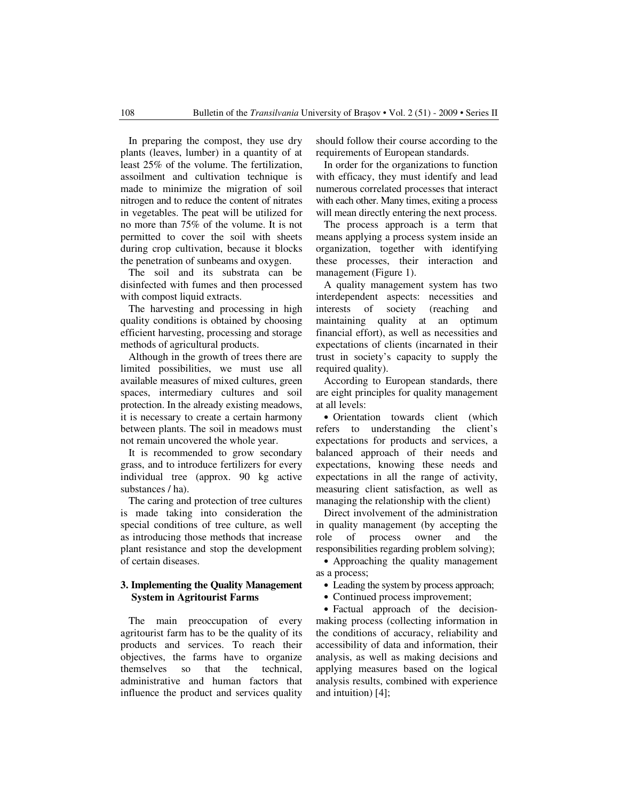In preparing the compost, they use dry plants (leaves, lumber) in a quantity of at least 25% of the volume. The fertilization, assoilment and cultivation technique is made to minimize the migration of soil nitrogen and to reduce the content of nitrates in vegetables. The peat will be utilized for no more than 75% of the volume. It is not permitted to cover the soil with sheets during crop cultivation, because it blocks the penetration of sunbeams and oxygen.

The soil and its substrata can be disinfected with fumes and then processed with compost liquid extracts.

The harvesting and processing in high quality conditions is obtained by choosing efficient harvesting, processing and storage methods of agricultural products.

Although in the growth of trees there are limited possibilities, we must use all available measures of mixed cultures, green spaces, intermediary cultures and soil protection. In the already existing meadows, it is necessary to create a certain harmony between plants. The soil in meadows must not remain uncovered the whole year.

It is recommended to grow secondary grass, and to introduce fertilizers for every individual tree (approx. 90 kg active substances / ha).

The caring and protection of tree cultures is made taking into consideration the special conditions of tree culture, as well as introducing those methods that increase plant resistance and stop the development of certain diseases.

#### **3. Implementing the Quality Management System in Agritourist Farms**

The main preoccupation of every agritourist farm has to be the quality of its products and services. To reach their objectives, the farms have to organize themselves so that the technical, administrative and human factors that influence the product and services quality should follow their course according to the requirements of European standards.

In order for the organizations to function with efficacy, they must identify and lead numerous correlated processes that interact with each other. Many times, exiting a process will mean directly entering the next process.

The process approach is a term that means applying a process system inside an organization, together with identifying these processes, their interaction and management (Figure 1).

A quality management system has two interdependent aspects: necessities and interests of society (reaching and maintaining quality at an optimum financial effort), as well as necessities and expectations of clients (incarnated in their trust in society's capacity to supply the required quality).

According to European standards, there are eight principles for quality management at all levels:

• Orientation towards client (which refers to understanding the client's expectations for products and services, a balanced approach of their needs and expectations, knowing these needs and expectations in all the range of activity, measuring client satisfaction, as well as managing the relationship with the client)

Direct involvement of the administration in quality management (by accepting the role of process owner and the responsibilities regarding problem solving);

• Approaching the quality management as a process;

• Leading the system by process approach;

• Continued process improvement;

• Factual approach of the decisionmaking process (collecting information in the conditions of accuracy, reliability and accessibility of data and information, their analysis, as well as making decisions and applying measures based on the logical analysis results, combined with experience and intuition) [4];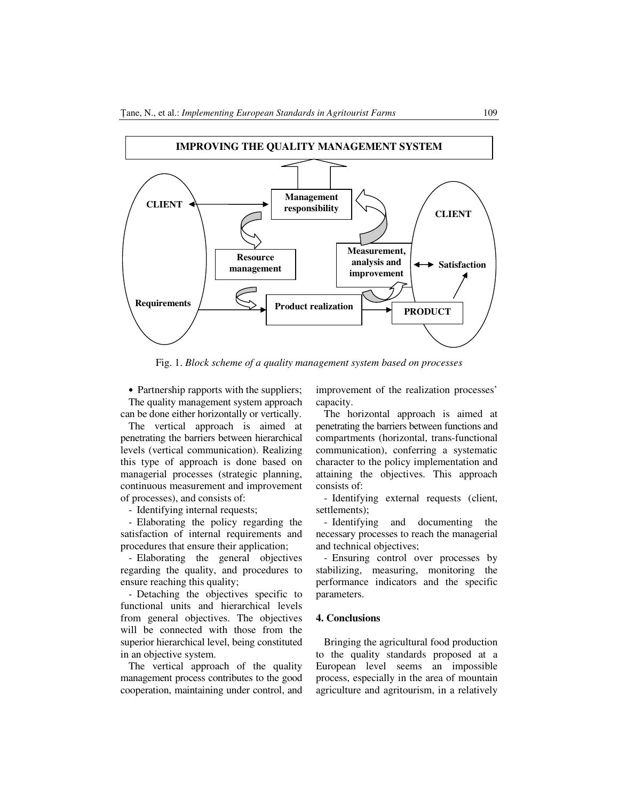

Fig. 1. *Block scheme of a quality management system based on processes* 

• Partnership rapports with the suppliers; The quality management system approach can be done either horizontally or vertically.

The vertical approach is aimed at penetrating the barriers between hierarchical levels (vertical communication). Realizing this type of approach is done based on managerial processes (strategic planning, continuous measurement and improvement of processes), and consists of:

- Identifying internal requests;

Elaborating the policy regarding the satisfaction of internal requirements and procedures that ensure their application;

- Elaborating the general objectives regarding the quality, and procedures to ensure reaching this quality;

- Detaching the objectives specific to functional units and hierarchical levels from general objectives. The objectives will be connected with those from the superior hierarchical level, being constituted in an objective system.

The vertical approach of the quality management process contributes to the good cooperation, maintaining under control, and

improvement of the realization processes' capacity.

The horizontal approach is aimed at penetrating the barriers between functions and compartments (horizontal, trans-functional communication), conferring a systematic character to the policy implementation and attaining the objectives. This approach consists of:

- Identifying external requests (client, settlements);

- Identifying and documenting the necessary processes to reach the managerial and technical objectives;

- Ensuring control over processes by stabilizing, measuring, monitoring the performance indicators and the specific parameters.

#### **4. Conclusions**

Bringing the agricultural food production to the quality standards proposed at a European level seems an impossible process, especially in the area of mountain agriculture and agritourism, in a relatively